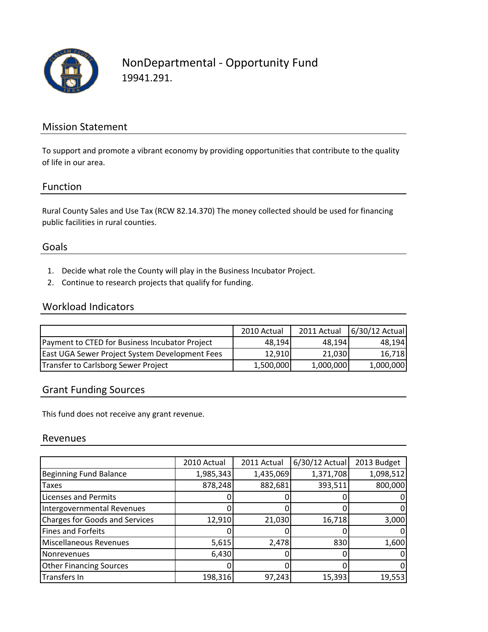

# NonDepartmental ‐ Opportunity Fund 19941.291.

### Mission Statement

To support and promote a vibrant economy by providing opportunities that contribute to the quality of life in our area.

#### Function

Rural County Sales and Use Tax (RCW 82.14.370) The money collected should be used for financing public facilities in rural counties.

#### Goals

- 1. Decide what role the County will play in the Business Incubator Project.
- 2. Continue to research projects that qualify for funding.

#### Workload Indicators

|                                                | 2010 Actual | 2011 Actual | 6/30/12 Actual |
|------------------------------------------------|-------------|-------------|----------------|
| Payment to CTED for Business Incubator Project | 48.194      | 48.1941     | 48.194         |
| East UGA Sewer Project System Development Fees | 12.910      | 21.030      | 16.718         |
| Transfer to Carlsborg Sewer Project            | 1,500,000   | 1,000,000   | 1,000,000      |

### Grant Funding Sources

This fund does not receive any grant revenue.

#### Revenues

|                                       | 2010 Actual | 2011 Actual | 6/30/12 Actual | 2013 Budget |
|---------------------------------------|-------------|-------------|----------------|-------------|
| <b>Beginning Fund Balance</b>         | 1,985,343   | 1,435,069   | 1,371,708      | 1,098,512   |
| <b>Taxes</b>                          | 878,248     | 882,681     | 393,511        | 800,000     |
| <b>Licenses and Permits</b>           |             |             |                |             |
| Intergovernmental Revenues            |             |             |                | 0           |
| <b>Charges for Goods and Services</b> | 12,910      | 21,030      | 16,718         | 3,000       |
| <b>Fines and Forfeits</b>             |             |             |                | 0           |
| Miscellaneous Revenues                | 5,615       | 2,478       | 830            | 1,600       |
| Nonrevenues                           | 6,430       |             |                | 0           |
| <b>Other Financing Sources</b>        |             |             |                | 0           |
| <b>Transfers In</b>                   | 198,316     | 97,243      | 15,393         | 19,553      |